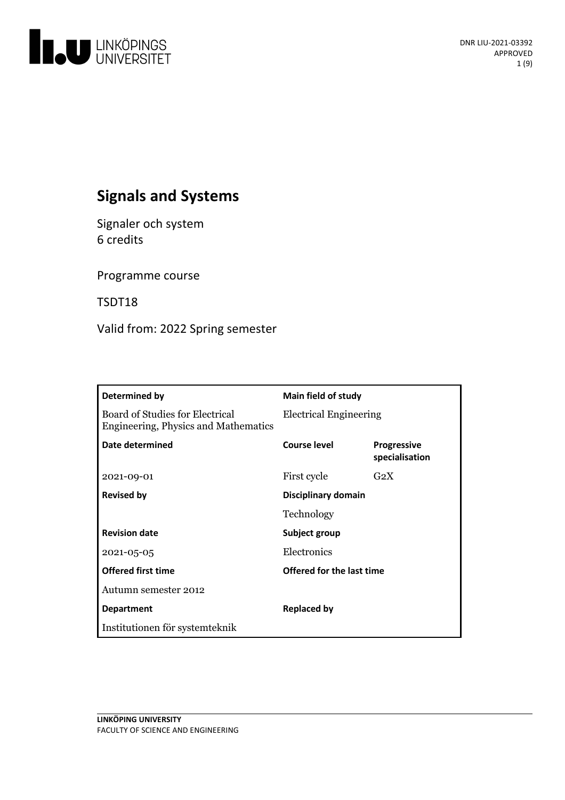

# **Signals and Systems**

Signaler och system 6 credits

Programme course

TSDT18

Valid from: 2022 Spring semester

| Determined by                                                           | <b>Main field of study</b>    |                                      |
|-------------------------------------------------------------------------|-------------------------------|--------------------------------------|
| Board of Studies for Electrical<br>Engineering, Physics and Mathematics | <b>Electrical Engineering</b> |                                      |
| Date determined                                                         | Course level                  | <b>Progressive</b><br>specialisation |
| 2021-09-01                                                              | First cycle                   | $G_2X$                               |
| <b>Revised by</b>                                                       | Disciplinary domain           |                                      |
|                                                                         | Technology                    |                                      |
| <b>Revision date</b>                                                    | Subject group                 |                                      |
| 2021-05-05                                                              | Electronics                   |                                      |
| <b>Offered first time</b>                                               | Offered for the last time     |                                      |
| Autumn semester 2012                                                    |                               |                                      |
| <b>Department</b>                                                       | Replaced by                   |                                      |
| Institutionen för systemteknik                                          |                               |                                      |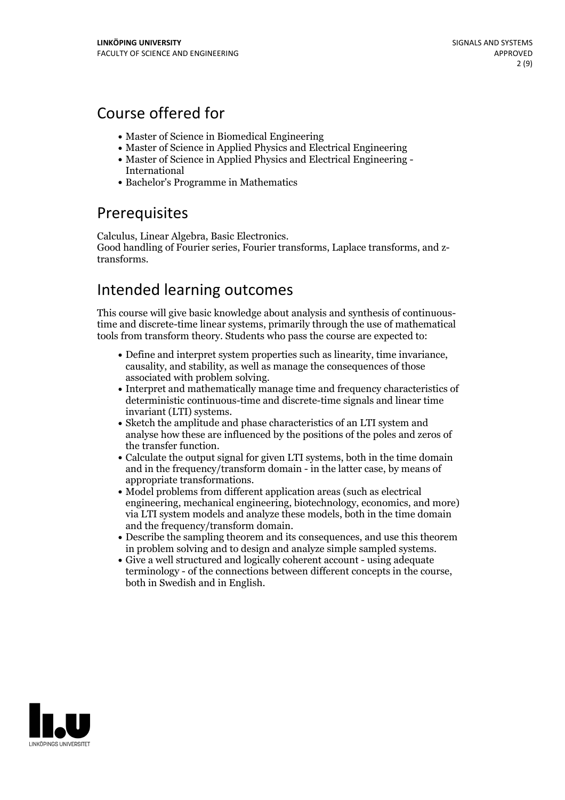# Course offered for

- Master of Science in Biomedical Engineering
- Master of Science in Applied Physics and Electrical Engineering
- Master of Science in Applied Physics and Electrical Engineering International
- Bachelor's Programme in Mathematics

## **Prerequisites**

Calculus, Linear Algebra, Basic Electronics. Good handling of Fourier series, Fourier transforms, Laplace transforms, and ztransforms.

## Intended learning outcomes

This course will give basic knowledge about analysis and synthesis of continuoustime and discrete-time linear systems, primarily through the use of mathematical tools from transform theory. Students who pass the course are expected to:

- Define and interpret system properties such aslinearity, time invariance, causality, and stability, as well as manage the consequences of those
- associated with problem solving. Interpret and mathematically manage time and frequency characteristics of deterministic continuous-time and discrete-time signals and linear time invariant (LTI) systems.<br>• Sketch the amplitude and phase characteristics of an LTI system and
- analyse how these are influenced by the positions of the poles and zeros of the transfer function.<br>• Calculate the output signal for given LTI systems, both in the time domain
- and in the frequency/transform domain in the latter case, by means of appropriate transformations.<br>• Model problems from different application areas (such as electrical
- engineering, mechanical engineering, biotechnology, economics, and more) via LTI system models and analyze these models, both in the time domain
- and the frequency/transform domain.<br>• Describe the sampling theorem and its consequences, and use this theorem in problem solving and to design and analyze simple sampled systems. Give <sup>a</sup> well structured and logically coherent account - using adequate
- terminology of the connections between different concepts in the course, both in Swedish and in English.

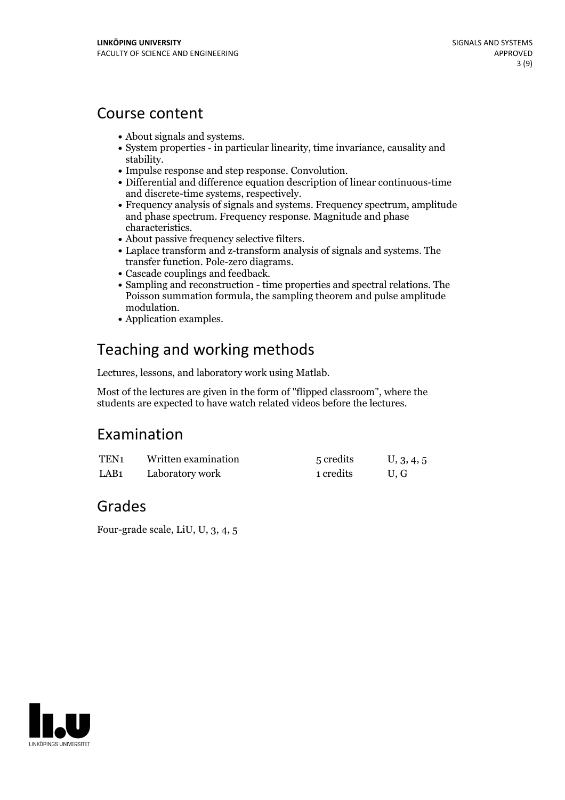## Course content

- 
- About signals and systems.<br>• System properties in particular linearity, time invariance, causality and
- 
- stability.<br>• Impulse response and step response. Convolution.<br>• Differential and difference equation description of linear continuous-time<br>and discrete-time systems, respectively.
- Frequency analysis of signals and systems. Frequency spectrum, amplitude and phase spectrum. Frequency response. Magnitude and phase
- 
- characteristics.<br>
 About passive frequency selective filters.<br>
 Laplace transform and z-transform analysis of signals and systems. The<br>
transfer function. Pole-zero diagrams.
- 
- Cascade couplings and feedback. <br>• Sampling and reconstruction time properties and spectral relations. The Poisson summation formula, the sampling theorem and pulse amplitude modulation.<br>• Application examples.
- 

# Teaching and working methods

Lectures, lessons, and laboratory work using Matlab.

Most of the lectures are given in the form of "flipped classroom", where the students are expected to have watch related videos before the lectures.

## Examination

| TEN <sub>1</sub> | Written examination | 5 credits | U, 3, 4, 5 |
|------------------|---------------------|-----------|------------|
| LAB <sub>1</sub> | Laboratory work     | 1 credits | U.G        |

## Grades

Four-grade scale, LiU, U, 3, 4, 5

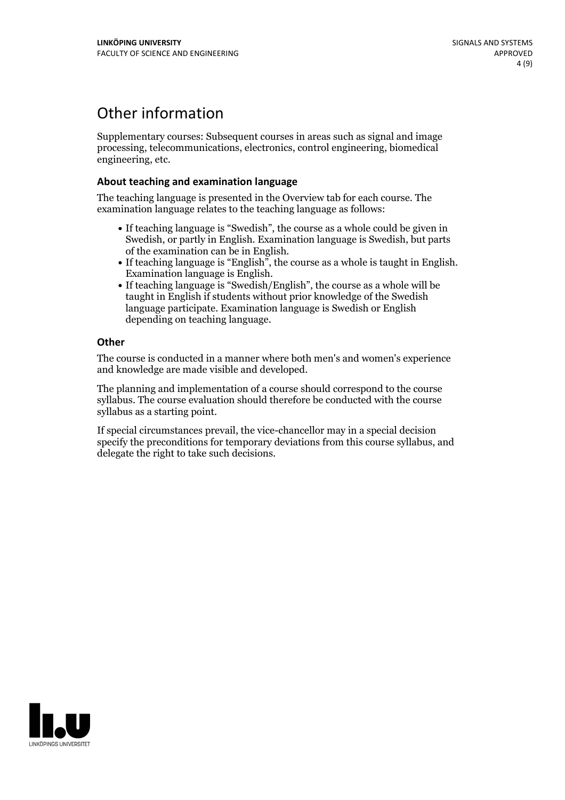## Other information

Supplementary courses: Subsequent courses in areas such as signal and image processing, telecommunications, electronics, control engineering, biomedical engineering, etc.

### **About teaching and examination language**

The teaching language is presented in the Overview tab for each course. The examination language relates to the teaching language as follows:

- If teaching language is "Swedish", the course as a whole could be given in Swedish, or partly in English. Examination language is Swedish, but parts
- of the examination can be in English. If teaching language is "English", the course as <sup>a</sup> whole is taught in English. Examination language is English. If teaching language is "Swedish/English", the course as <sup>a</sup> whole will be
- taught in English if students without prior knowledge of the Swedish language participate. Examination language is Swedish or English depending on teaching language.

### **Other**

The course is conducted in a manner where both men's and women's experience and knowledge are made visible and developed.

The planning and implementation of a course should correspond to the course syllabus. The course evaluation should therefore be conducted with the course syllabus as a starting point.

If special circumstances prevail, the vice-chancellor may in a special decision specify the preconditions for temporary deviations from this course syllabus, and delegate the right to take such decisions.

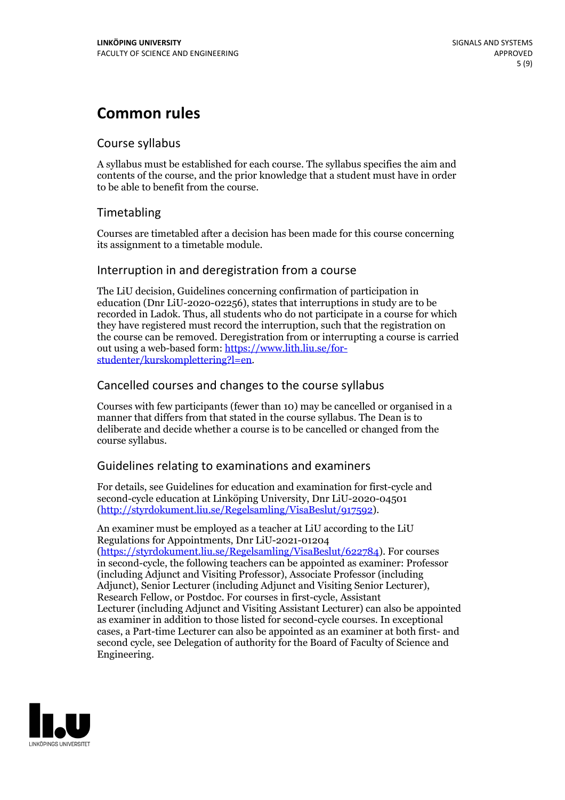# **Common rules**

## Course syllabus

A syllabus must be established for each course. The syllabus specifies the aim and contents of the course, and the prior knowledge that a student must have in order to be able to benefit from the course.

## Timetabling

Courses are timetabled after a decision has been made for this course concerning its assignment to a timetable module.

## Interruption in and deregistration from a course

The LiU decision, Guidelines concerning confirmation of participation in education (Dnr LiU-2020-02256), states that interruptions in study are to be recorded in Ladok. Thus, all students who do not participate in a course for which they have registered must record the interruption, such that the registration on the course can be removed. Deregistration from or interrupting a course is carried out using <sup>a</sup> web-based form: https://www.lith.liu.se/for- [studenter/kurskomplettering?l=en.](https://www.lith.liu.se/for-studenter/kurskomplettering?l=en)

## Cancelled courses and changes to the course syllabus

Courses with few participants (fewer than 10) may be cancelled or organised in a manner that differs from that stated in the course syllabus. The Dean is to deliberate and decide whether a course is to be cancelled or changed from the course syllabus.

## Guidelines relating to examinations and examiners

For details, see Guidelines for education and examination for first-cycle and second-cycle education at Linköping University, Dnr LiU-2020-04501 [\(http://styrdokument.liu.se/Regelsamling/VisaBeslut/917592\)](http://styrdokument.liu.se/Regelsamling/VisaBeslut/917592).

An examiner must be employed as a teacher at LiU according to the LiU Regulations for Appointments, Dnr LiU-2021-01204 [\(https://styrdokument.liu.se/Regelsamling/VisaBeslut/622784](https://styrdokument.liu.se/Regelsamling/VisaBeslut/622784)). For courses in second-cycle, the following teachers can be appointed as examiner: Professor (including Adjunct and Visiting Professor), Associate Professor (including Adjunct), Senior Lecturer (including Adjunct and Visiting Senior Lecturer), Research Fellow, or Postdoc. For courses in first-cycle, Assistant Lecturer (including Adjunct and Visiting Assistant Lecturer) can also be appointed as examiner in addition to those listed for second-cycle courses. In exceptional cases, a Part-time Lecturer can also be appointed as an examiner at both first- and second cycle, see Delegation of authority for the Board of Faculty of Science and Engineering.

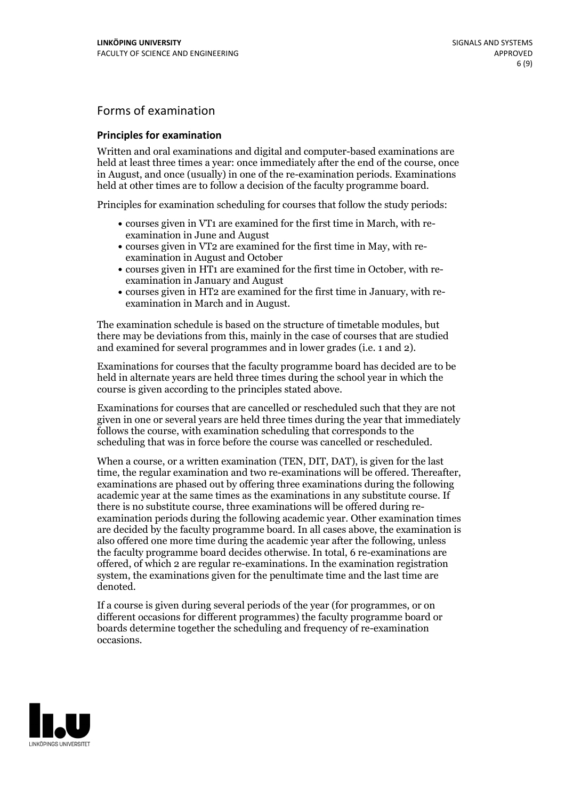## Forms of examination

### **Principles for examination**

Written and oral examinations and digital and computer-based examinations are held at least three times a year: once immediately after the end of the course, once in August, and once (usually) in one of the re-examination periods. Examinations held at other times are to follow a decision of the faculty programme board.

Principles for examination scheduling for courses that follow the study periods:

- courses given in VT1 are examined for the first time in March, with re-examination in June and August
- courses given in VT2 are examined for the first time in May, with re-examination in August and October
- courses given in HT1 are examined for the first time in October, with re-examination in January and August
- courses given in HT2 are examined for the first time in January, with re-examination in March and in August.

The examination schedule is based on the structure of timetable modules, but there may be deviations from this, mainly in the case of courses that are studied and examined for several programmes and in lower grades (i.e. 1 and 2).

Examinations for courses that the faculty programme board has decided are to be held in alternate years are held three times during the school year in which the course is given according to the principles stated above.

Examinations for courses that are cancelled orrescheduled such that they are not given in one or several years are held three times during the year that immediately follows the course, with examination scheduling that corresponds to the scheduling that was in force before the course was cancelled or rescheduled.

When a course, or a written examination (TEN, DIT, DAT), is given for the last time, the regular examination and two re-examinations will be offered. Thereafter, examinations are phased out by offering three examinations during the following academic year at the same times as the examinations in any substitute course. If there is no substitute course, three examinations will be offered during re- examination periods during the following academic year. Other examination times are decided by the faculty programme board. In all cases above, the examination is also offered one more time during the academic year after the following, unless the faculty programme board decides otherwise. In total, 6 re-examinations are offered, of which 2 are regular re-examinations. In the examination registration system, the examinations given for the penultimate time and the last time are denoted.

If a course is given during several periods of the year (for programmes, or on different occasions for different programmes) the faculty programme board or boards determine together the scheduling and frequency of re-examination occasions.

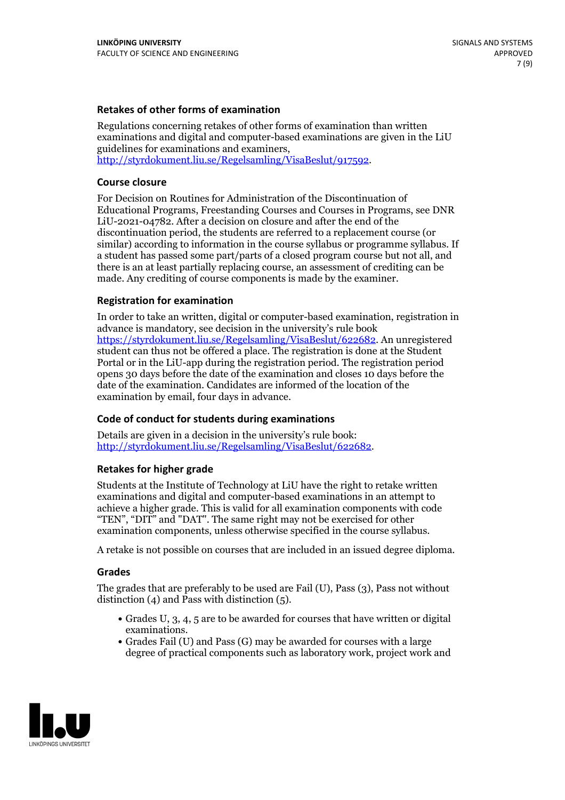### **Retakes of other forms of examination**

Regulations concerning retakes of other forms of examination than written examinations and digital and computer-based examinations are given in the LiU guidelines for examinations and examiners, [http://styrdokument.liu.se/Regelsamling/VisaBeslut/917592.](http://styrdokument.liu.se/Regelsamling/VisaBeslut/917592)

### **Course closure**

For Decision on Routines for Administration of the Discontinuation of Educational Programs, Freestanding Courses and Courses in Programs, see DNR LiU-2021-04782. After a decision on closure and after the end of the discontinuation period, the students are referred to a replacement course (or similar) according to information in the course syllabus or programme syllabus. If a student has passed some part/parts of a closed program course but not all, and there is an at least partially replacing course, an assessment of crediting can be made. Any crediting of course components is made by the examiner.

### **Registration for examination**

In order to take an written, digital or computer-based examination, registration in advance is mandatory, see decision in the university's rule book [https://styrdokument.liu.se/Regelsamling/VisaBeslut/622682.](https://styrdokument.liu.se/Regelsamling/VisaBeslut/622682) An unregistered student can thus not be offered a place. The registration is done at the Student Portal or in the LiU-app during the registration period. The registration period opens 30 days before the date of the examination and closes 10 days before the date of the examination. Candidates are informed of the location of the examination by email, four days in advance.

### **Code of conduct for students during examinations**

Details are given in a decision in the university's rule book: <http://styrdokument.liu.se/Regelsamling/VisaBeslut/622682>.

#### **Retakes for higher grade**

Students at the Institute of Technology at LiU have the right to retake written examinations and digital and computer-based examinations in an attempt to achieve a higher grade. This is valid for all examination components with code "TEN", "DIT" and "DAT". The same right may not be exercised for other examination components, unless otherwise specified in the course syllabus.

A retake is not possible on courses that are included in an issued degree diploma.

#### **Grades**

The grades that are preferably to be used are Fail (U), Pass (3), Pass not without distinction  $(4)$  and Pass with distinction  $(5)$ .

- Grades U, 3, 4, 5 are to be awarded for courses that have written or digital examinations.<br>• Grades Fail (U) and Pass (G) may be awarded for courses with a large
- degree of practical components such as laboratory work, project work and

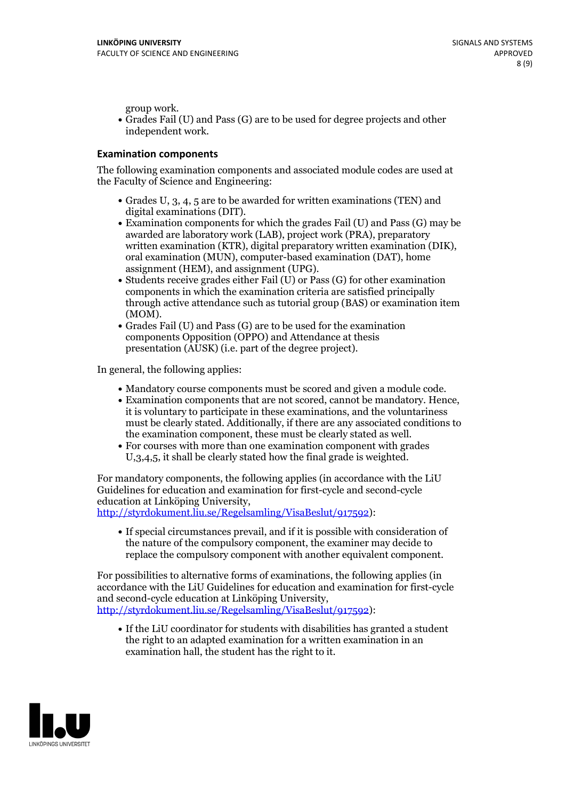group work.<br>• Grades Fail (U) and Pass (G) are to be used for degree projects and other independent work.

### **Examination components**

The following examination components and associated module codes are used at the Faculty of Science and Engineering:

- Grades U, 3, 4, 5 are to be awarded for written examinations (TEN) and
- digital examinations (DIT).<br>• Examination components for which the grades Fail (U) and Pass (G) may be awarded are laboratory work (LAB), project work (PRA), preparatory written examination (KTR), digital preparatory written examination (DIK), oral examination (MUN), computer-based examination (DAT), home
- assignment (HEM), and assignment (UPG).<br>• Students receive grades either Fail (U) or Pass (G) for other examination components in which the examination criteria are satisfied principally through active attendance such as tutorial group (BAS) or examination item
- (MOM).<br>• Grades Fail (U) and Pass (G) are to be used for the examination components Opposition (OPPO) and Attendance at thesis presentation (AUSK) (i.e. part of the degree project).

In general, the following applies:

- 
- Mandatory course components must be scored and given <sup>a</sup> module code. Examination components that are not scored, cannot be mandatory. Hence, it is voluntary to participate in these examinations, and the voluntariness must be clearly stated. Additionally, if there are any associated conditions to
- the examination component, these must be clearly stated as well.<br>• For courses with more than one examination component with grades U,3,4,5, it shall be clearly stated how the final grade is weighted.

For mandatory components, the following applies (in accordance with the LiU Guidelines for education and examination for first-cycle and second-cycle education at Linköping University,<br>[http://styrdokument.liu.se/Regelsamling/VisaBeslut/917592\)](http://styrdokument.liu.se/Regelsamling/VisaBeslut/917592):

If special circumstances prevail, and if it is possible with consideration of the nature of the compulsory component, the examiner may decide to replace the compulsory component with another equivalent component.

For possibilities to alternative forms of examinations, the following applies (in accordance with the LiU Guidelines for education and examination for first-cycle [http://styrdokument.liu.se/Regelsamling/VisaBeslut/917592\)](http://styrdokument.liu.se/Regelsamling/VisaBeslut/917592):

If the LiU coordinator for students with disabilities has granted a student the right to an adapted examination for a written examination in an examination hall, the student has the right to it.